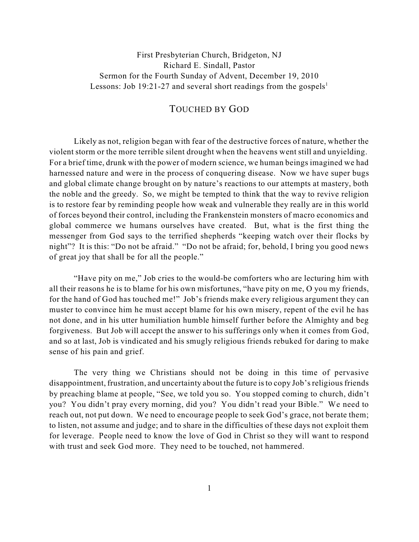## First Presbyterian Church, Bridgeton, NJ Richard E. Sindall, Pastor Sermon for the Fourth Sunday of Advent, December 19, 2010 Lessons: Job 19:21-27 and several short readings from the gospels<sup>1</sup>

## TOUCHED BY GOD

Likely as not, religion began with fear of the destructive forces of nature, whether the violent storm or the more terrible silent drought when the heavens went still and unyielding. For a brief time, drunk with the power of modern science, we human beings imagined we had harnessed nature and were in the process of conquering disease. Now we have super bugs and global climate change brought on by nature's reactions to our attempts at mastery, both the noble and the greedy. So, we might be tempted to think that the way to revive religion is to restore fear by reminding people how weak and vulnerable they really are in this world of forces beyond their control, including the Frankenstein monsters of macro economics and global commerce we humans ourselves have created. But, what is the first thing the messenger from God says to the terrified shepherds "keeping watch over their flocks by night"? It is this: "Do not be afraid." "Do not be afraid; for, behold, I bring you good news of great joy that shall be for all the people."

"Have pity on me," Job cries to the would-be comforters who are lecturing him with all their reasons he is to blame for his own misfortunes, "have pity on me, O you my friends, for the hand of God has touched me!" Job's friends make every religious argument they can muster to convince him he must accept blame for his own misery, repent of the evil he has not done, and in his utter humiliation humble himself further before the Almighty and beg forgiveness. But Job will accept the answer to his sufferings only when it comes from God, and so at last, Job is vindicated and his smugly religious friends rebuked for daring to make sense of his pain and grief.

The very thing we Christians should not be doing in this time of pervasive disappointment, frustration, and uncertainty about the future is to copy Job's religious friends by preaching blame at people, "See, we told you so. You stopped coming to church, didn't you? You didn't pray every morning, did you? You didn't read your Bible." We need to reach out, not put down. We need to encourage people to seek God's grace, not berate them; to listen, not assume and judge; and to share in the difficulties of these days not exploit them for leverage. People need to know the love of God in Christ so they will want to respond with trust and seek God more. They need to be touched, not hammered.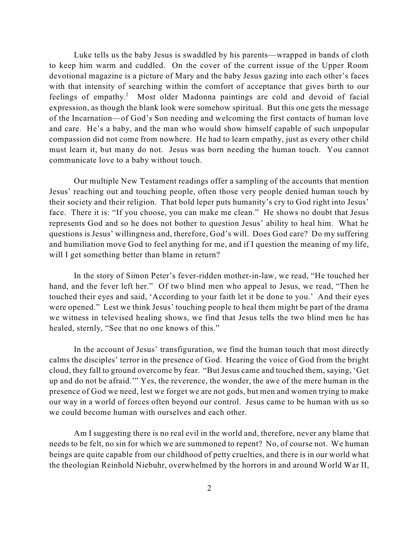Luke tells us the baby Jesus is swaddled by his parents—wrapped in bands of cloth to keep him warm and cuddled. On the cover of the current issue of the Upper Room devotional magazine is a picture of Mary and the baby Jesus gazing into each other's faces with that intensity of searching within the comfort of acceptance that gives birth to our feelings of empathy.<sup>2</sup> Most older Madonna paintings are cold and devoid of facial expression, as though the blank look were somehow spiritual. But this one gets the message of the Incarnation—of God's Son needing and welcoming the first contacts of human love and care. He's a baby, and the man who would show himself capable of such unpopular compassion did not come from nowhere. He had to learn empathy, just as every other child must learn it, but many do not. Jesus was born needing the human touch. You cannot communicate love to a baby without touch.

Our multiple New Testament readings offer a sampling of the accounts that mention Jesus' reaching out and touching people, often those very people denied human touch by their society and their religion. That bold leper puts humanity's cry to God right into Jesus' face. There it is: "If you choose, you can make me clean." He shows no doubt that Jesus represents God and so he does not bother to question Jesus' ability to heal him. What he questions is Jesus' willingness and, therefore, God's will. Does God care? Do my suffering and humiliation move God to feel anything for me, and if I question the meaning of my life, will I get something better than blame in return?

In the story of Simon Peter's fever-ridden mother-in-law, we read, "He touched her hand, and the fever left her." Of two blind men who appeal to Jesus, we read, "Then he touched their eyes and said, 'According to your faith let it be done to you.' And their eyes were opened." Lest we think Jesus' touching people to heal them might be part of the drama we witness in televised healing shows, we find that Jesus tells the two blind men he has healed, sternly, "See that no one knows of this."

In the account of Jesus' transfiguration, we find the human touch that most directly calms the disciples' terror in the presence of God. Hearing the voice of God from the bright cloud, they fall to ground overcome by fear. "But Jesus came and touched them, saying, 'Get up and do not be afraid.'" Yes, the reverence, the wonder, the awe of the mere human in the presence of God we need, lest we forget we are not gods, but men and women trying to make our way in a world of forces often beyond our control. Jesus came to be human with us so we could become human with ourselves and each other.

Am I suggesting there is no real evil in the world and, therefore, never any blame that needs to be felt, no sin for which we are summoned to repent? No, of course not. We human beings are quite capable from our childhood of petty cruelties, and there is in our world what the theologian Reinhold Niebuhr, overwhelmed by the horrors in and around World War II,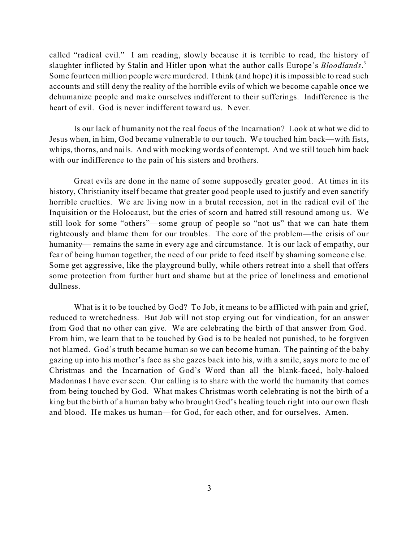called "radical evil." I am reading, slowly because it is terrible to read, the history of slaughter inflicted by Stalin and Hitler upon what the author calls Europe's *Bloodlands*. 3 Some fourteen million people were murdered. I think (and hope) it is impossible to read such accounts and still deny the reality of the horrible evils of which we become capable once we dehumanize people and make ourselves indifferent to their sufferings. Indifference is the heart of evil. God is never indifferent toward us. Never.

Is our lack of humanity not the real focus of the Incarnation? Look at what we did to Jesus when, in him, God became vulnerable to our touch. We touched him back—with fists, whips, thorns, and nails. And with mocking words of contempt. And we still touch him back with our indifference to the pain of his sisters and brothers.

Great evils are done in the name of some supposedly greater good. At times in its history, Christianity itself became that greater good people used to justify and even sanctify horrible cruelties. We are living now in a brutal recession, not in the radical evil of the Inquisition or the Holocaust, but the cries of scorn and hatred still resound among us. We still look for some "others"—some group of people so "not us" that we can hate them righteously and blame them for our troubles. The core of the problem—the crisis of our humanity— remains the same in every age and circumstance. It is our lack of empathy, our fear of being human together, the need of our pride to feed itself by shaming someone else. Some get aggressive, like the playground bully, while others retreat into a shell that offers some protection from further hurt and shame but at the price of loneliness and emotional dullness.

What is it to be touched by God? To Job, it means to be afflicted with pain and grief, reduced to wretchedness. But Job will not stop crying out for vindication, for an answer from God that no other can give. We are celebrating the birth of that answer from God. From him, we learn that to be touched by God is to be healed not punished, to be forgiven not blamed. God's truth became human so we can become human. The painting of the baby gazing up into his mother's face as she gazes back into his, with a smile, says more to me of Christmas and the Incarnation of God's Word than all the blank-faced, holy-haloed Madonnas I have ever seen. Our calling is to share with the world the humanity that comes from being touched by God. What makes Christmas worth celebrating is not the birth of a king but the birth of a human baby who brought God's healing touch right into our own flesh and blood. He makes us human—for God, for each other, and for ourselves. Amen.